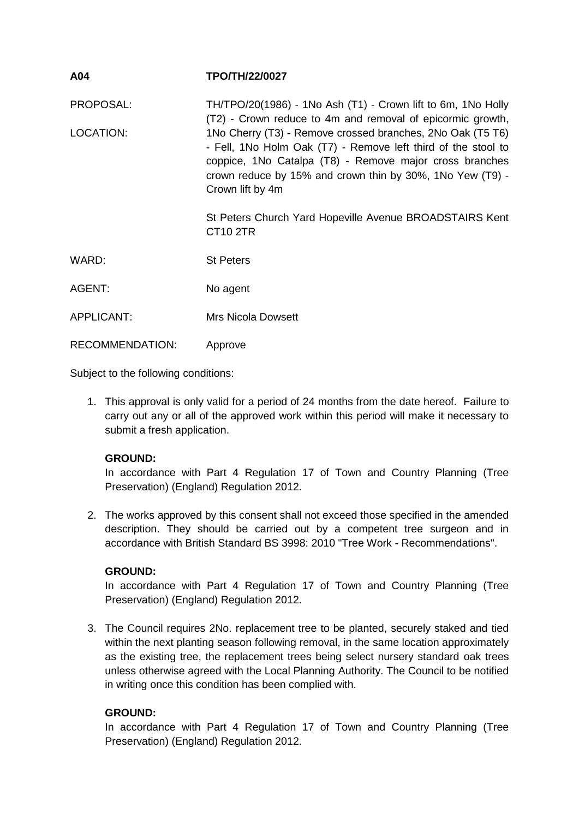| A04        | <b>TPO/TH/22/0027</b>                                                                                                                                                                                                                                                   |
|------------|-------------------------------------------------------------------------------------------------------------------------------------------------------------------------------------------------------------------------------------------------------------------------|
| PROPOSAL:  | TH/TPO/20(1986) - 1No Ash (T1) - Crown lift to 6m, 1No Holly<br>(T2) - Crown reduce to 4m and removal of epicormic growth,                                                                                                                                              |
| LOCATION:  | 1No Cherry (T3) - Remove crossed branches, 2No Oak (T5 T6)<br>- Fell, 1No Holm Oak (T7) - Remove left third of the stool to<br>coppice, 1No Catalpa (T8) - Remove major cross branches<br>crown reduce by 15% and crown thin by 30%, 1No Yew (T9) -<br>Crown lift by 4m |
|            | St Peters Church Yard Hopeville Avenue BROADSTAIRS Kent<br><b>CT10 2TR</b>                                                                                                                                                                                              |
| WARD:      | <b>St Peters</b>                                                                                                                                                                                                                                                        |
| AGENT:     | No agent                                                                                                                                                                                                                                                                |
| APPLICANT: | <b>Mrs Nicola Dowsett</b>                                                                                                                                                                                                                                               |

Subject to the following conditions:

RECOMMENDATION: Approve

1. This approval is only valid for a period of 24 months from the date hereof. Failure to carry out any or all of the approved work within this period will make it necessary to submit a fresh application.

### **GROUND:**

In accordance with Part 4 Regulation 17 of Town and Country Planning (Tree Preservation) (England) Regulation 2012.

2. The works approved by this consent shall not exceed those specified in the amended description. They should be carried out by a competent tree surgeon and in accordance with British Standard BS 3998: 2010 "Tree Work - Recommendations".

### **GROUND:**

In accordance with Part 4 Regulation 17 of Town and Country Planning (Tree Preservation) (England) Regulation 2012.

3. The Council requires 2No. replacement tree to be planted, securely staked and tied within the next planting season following removal, in the same location approximately as the existing tree, the replacement trees being select nursery standard oak trees unless otherwise agreed with the Local Planning Authority. The Council to be notified in writing once this condition has been complied with.

### **GROUND:**

In accordance with Part 4 Regulation 17 of Town and Country Planning (Tree Preservation) (England) Regulation 2012.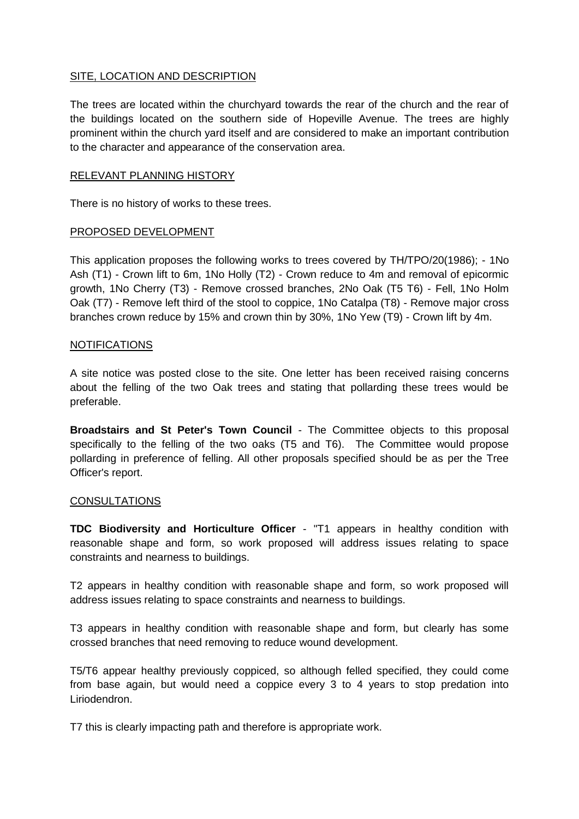## SITE, LOCATION AND DESCRIPTION

The trees are located within the churchyard towards the rear of the church and the rear of the buildings located on the southern side of Hopeville Avenue. The trees are highly prominent within the church yard itself and are considered to make an important contribution to the character and appearance of the conservation area.

#### RELEVANT PLANNING HISTORY

There is no history of works to these trees.

#### PROPOSED DEVELOPMENT

This application proposes the following works to trees covered by TH/TPO/20(1986); - 1No Ash (T1) - Crown lift to 6m, 1No Holly (T2) - Crown reduce to 4m and removal of epicormic growth, 1No Cherry (T3) - Remove crossed branches, 2No Oak (T5 T6) - Fell, 1No Holm Oak (T7) - Remove left third of the stool to coppice, 1No Catalpa (T8) - Remove major cross branches crown reduce by 15% and crown thin by 30%, 1No Yew (T9) - Crown lift by 4m.

### NOTIFICATIONS

A site notice was posted close to the site. One letter has been received raising concerns about the felling of the two Oak trees and stating that pollarding these trees would be preferable.

**Broadstairs and St Peter's Town Council** - The Committee objects to this proposal specifically to the felling of the two oaks (T5 and T6). The Committee would propose pollarding in preference of felling. All other proposals specified should be as per the Tree Officer's report.

#### CONSULTATIONS

**TDC Biodiversity and Horticulture Officer** - "T1 appears in healthy condition with reasonable shape and form, so work proposed will address issues relating to space constraints and nearness to buildings.

T2 appears in healthy condition with reasonable shape and form, so work proposed will address issues relating to space constraints and nearness to buildings.

T3 appears in healthy condition with reasonable shape and form, but clearly has some crossed branches that need removing to reduce wound development.

T5/T6 appear healthy previously coppiced, so although felled specified, they could come from base again, but would need a coppice every 3 to 4 years to stop predation into Liriodendron.

T7 this is clearly impacting path and therefore is appropriate work.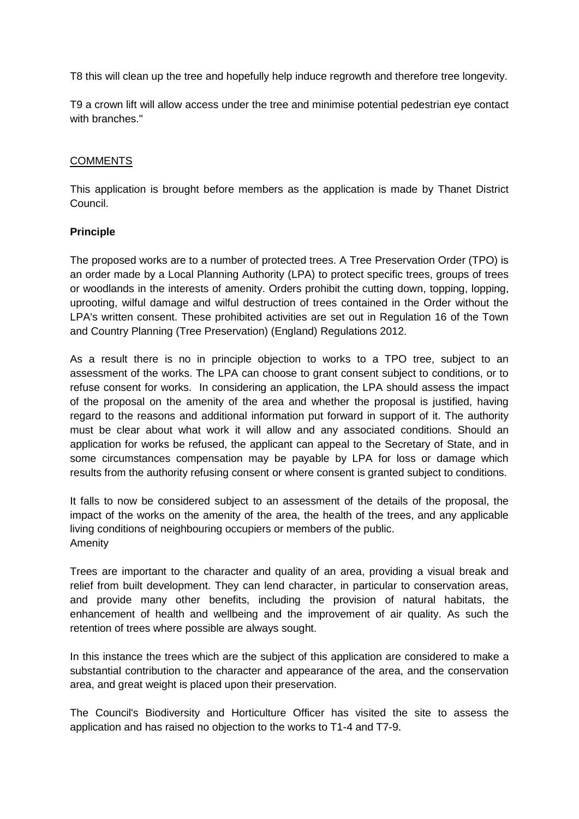T8 this will clean up the tree and hopefully help induce regrowth and therefore tree longevity.

T9 a crown lift will allow access under the tree and minimise potential pedestrian eye contact with branches."

## **COMMENTS**

This application is brought before members as the application is made by Thanet District Council.

## **Principle**

The proposed works are to a number of protected trees. A Tree Preservation Order (TPO) is an order made by a Local Planning Authority (LPA) to protect specific trees, groups of trees or woodlands in the interests of amenity. Orders prohibit the cutting down, topping, lopping, uprooting, wilful damage and wilful destruction of trees contained in the Order without the LPA's written consent. These prohibited activities are set out in Regulation 16 of the Town and Country Planning (Tree Preservation) (England) Regulations 2012.

As a result there is no in principle objection to works to a TPO tree, subject to an assessment of the works. The LPA can choose to grant consent subject to conditions, or to refuse consent for works. In considering an application, the LPA should assess the impact of the proposal on the amenity of the area and whether the proposal is justified, having regard to the reasons and additional information put forward in support of it. The authority must be clear about what work it will allow and any associated conditions. Should an application for works be refused, the applicant can appeal to the Secretary of State, and in some circumstances compensation may be payable by LPA for loss or damage which results from the authority refusing consent or where consent is granted subject to conditions.

It falls to now be considered subject to an assessment of the details of the proposal, the impact of the works on the amenity of the area, the health of the trees, and any applicable living conditions of neighbouring occupiers or members of the public. Amenity

Trees are important to the character and quality of an area, providing a visual break and relief from built development. They can lend character, in particular to conservation areas, and provide many other benefits, including the provision of natural habitats, the enhancement of health and wellbeing and the improvement of air quality. As such the retention of trees where possible are always sought.

In this instance the trees which are the subject of this application are considered to make a substantial contribution to the character and appearance of the area, and the conservation area, and great weight is placed upon their preservation.

The Council's Biodiversity and Horticulture Officer has visited the site to assess the application and has raised no objection to the works to T1-4 and T7-9.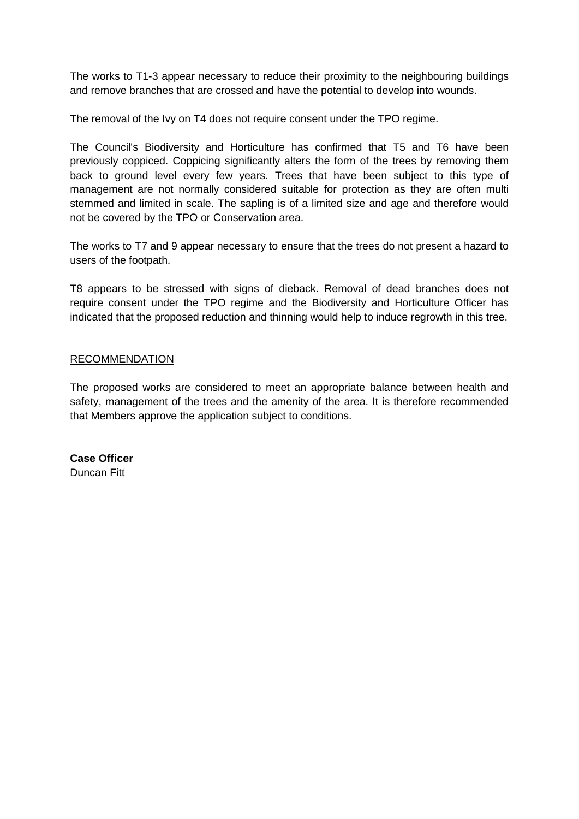The works to T1-3 appear necessary to reduce their proximity to the neighbouring buildings and remove branches that are crossed and have the potential to develop into wounds.

The removal of the Ivy on T4 does not require consent under the TPO regime.

The Council's Biodiversity and Horticulture has confirmed that T5 and T6 have been previously coppiced. Coppicing significantly alters the form of the trees by removing them back to ground level every few years. Trees that have been subject to this type of management are not normally considered suitable for protection as they are often multi stemmed and limited in scale. The sapling is of a limited size and age and therefore would not be covered by the TPO or Conservation area.

The works to T7 and 9 appear necessary to ensure that the trees do not present a hazard to users of the footpath.

T8 appears to be stressed with signs of dieback. Removal of dead branches does not require consent under the TPO regime and the Biodiversity and Horticulture Officer has indicated that the proposed reduction and thinning would help to induce regrowth in this tree.

### RECOMMENDATION

The proposed works are considered to meet an appropriate balance between health and safety, management of the trees and the amenity of the area. It is therefore recommended that Members approve the application subject to conditions.

**Case Officer** Duncan Fitt